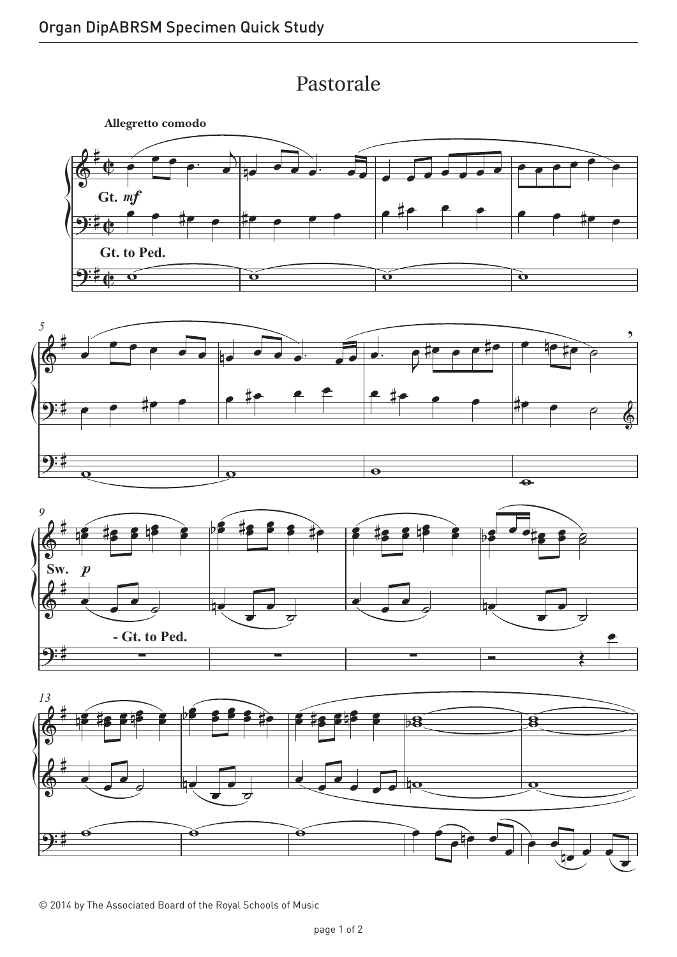Pastorale